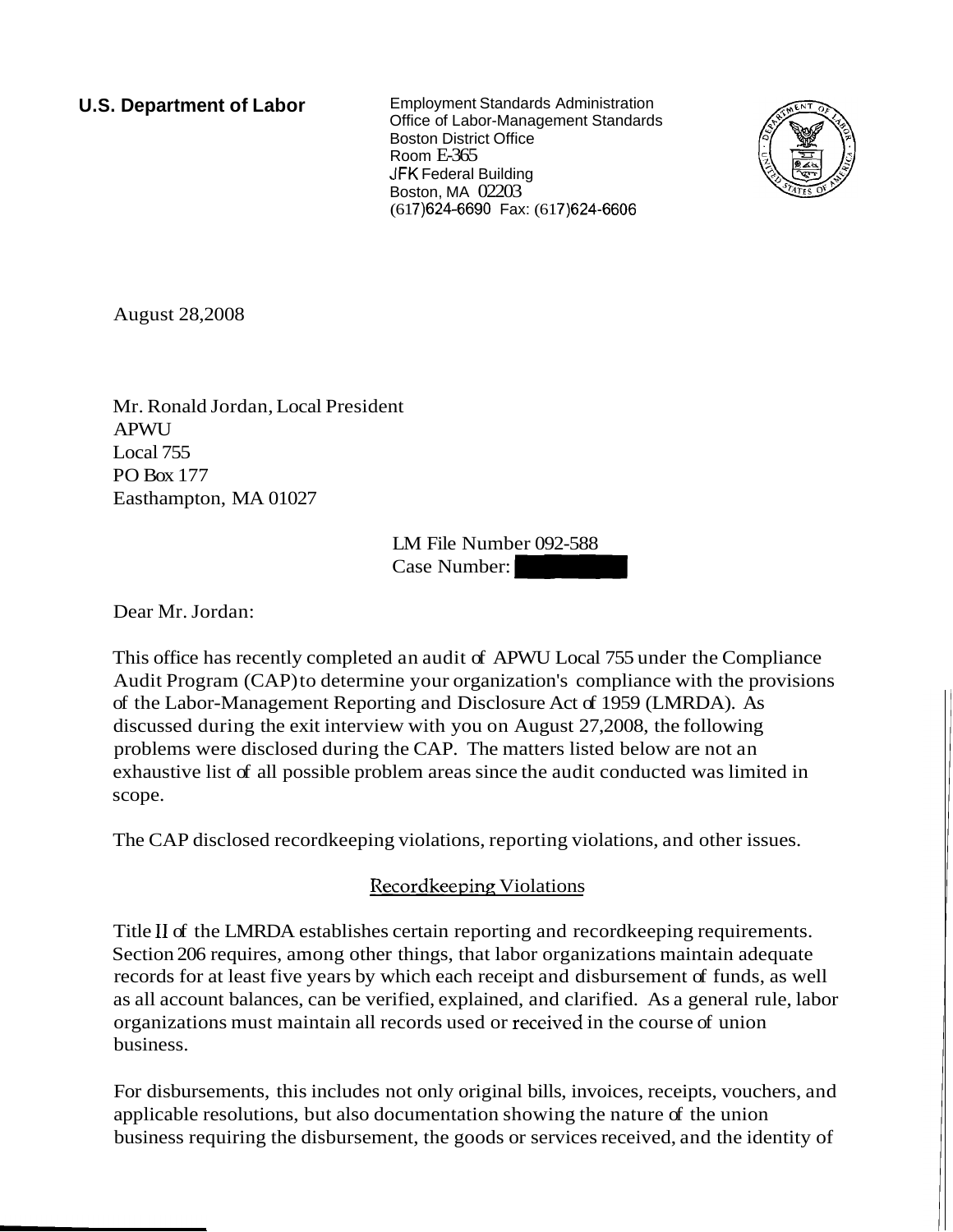**U.S. Department of Labor** Employment Standards Administration Office of Labor-Management Standards Boston District Office Room E-365 JFK Federal Building Boston, MA 02203 (617) 624-6690 Fax: (617) 624-6606



August 28,2008

Mr. Ronald Jordan, Local President APWU Local 755 PO Box 177 Easthampton, MA 01027

LM File Number 092-588 Case Number: -

Dear Mr. Jordan:

This office has recently completed an audit of APWU Local 755 under the Compliance Audit Program (CAP) to determine your organization's compliance with the provisions of the Labor-Management Reporting and Disclosure Act of 1959 (LMRDA). As discussed during the exit interview with you on August 27,2008, the following problems were disclosed during the CAP. The matters listed below are not an exhaustive list of all possible problem areas since the audit conducted was limited in scope.

The CAP disclosed recordkeeping violations, reporting violations, and other issues.

# Recordkeeping Violations

Title I1 of the LMRDA establishes certain reporting and recordkeeping requirements. Section 206 requires, among other things, that labor organizations maintain adequate records for at least five years by which each receipt and disbursement of funds, as well as all account balances, can be verified, explained, and clarified. As a general rule, labor organizations must maintain all records used or received in the course of union business.

For disbursements, this includes not only original bills, invoices, receipts, vouchers, and applicable resolutions, but also documentation showing the nature of the union business requiring the disbursement, the goods or services received, and the identity of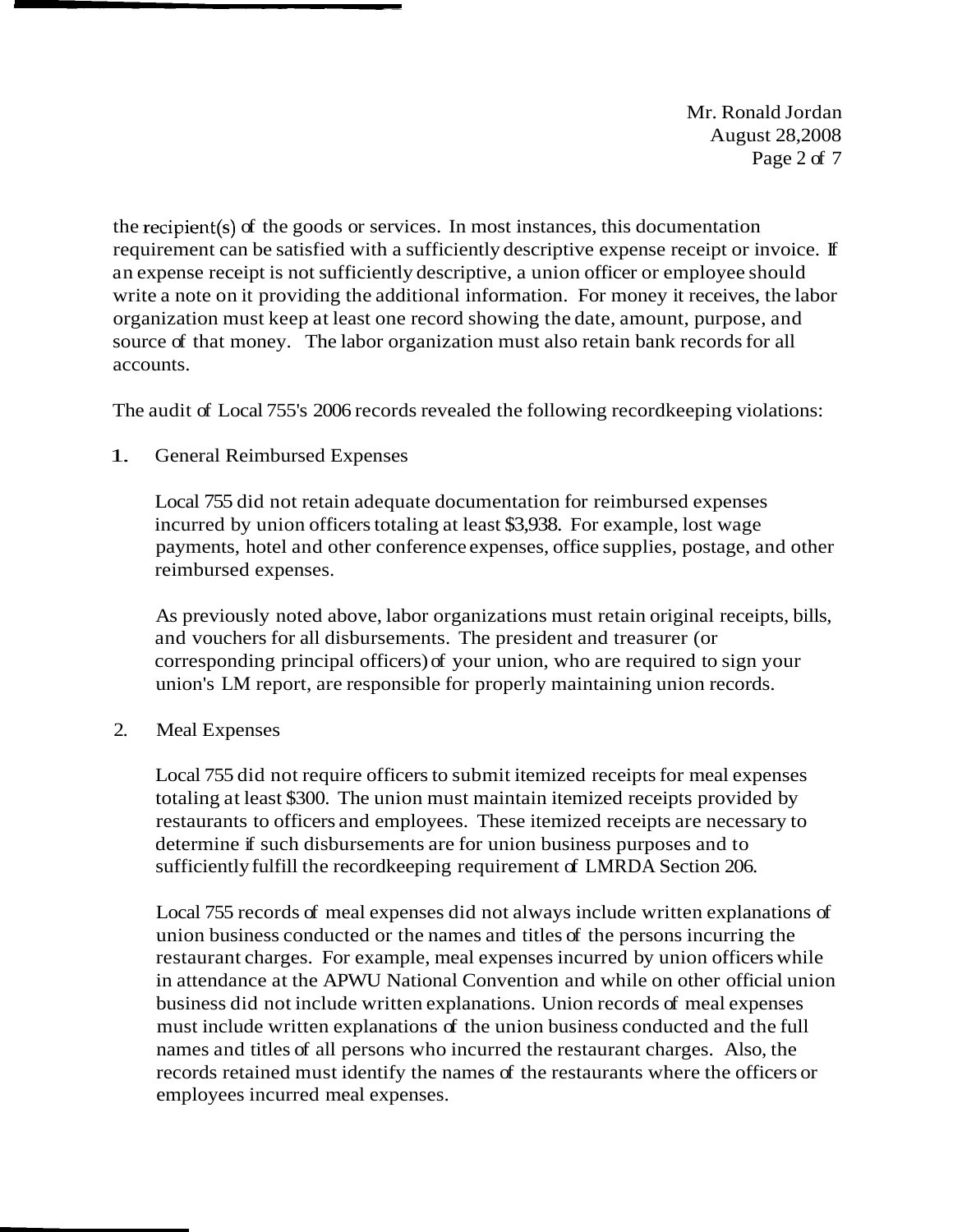Mr. Ronald Jordan August 28,2008 Page 2 of 7

the recipient(s) of the goods or services. In most instances, this documentation requirement can be satisfied with a sufficiently descriptive expense receipt or invoice. If an expense receipt is not sufficiently descriptive, a union officer or employee should write a note on it providing the additional information. For money it receives, the labor organization must keep at least one record showing the date, amount, purpose, and source of that money. The labor organization must also retain bank records for all accounts.

The audit of Local 755's 2006 records revealed the following recordkeeping violations:

## 1. General Reimbursed Expenses

Local 755 did not retain adequate documentation for reimbursed expenses incurred by union officers totaling at least \$3,938. For example, lost wage payments, hotel and other conference expenses, office supplies, postage, and other reimbursed expenses.

As previously noted above, labor organizations must retain original receipts, bills, and vouchers for all disbursements. The president and treasurer (or corresponding principal officers) of your union, who are required to sign your union's LM report, are responsible for properly maintaining union records.

## 2. Meal Expenses

Local 755 did not require officers to submit itemized receipts for meal expenses totaling at least \$300. The union must maintain itemized receipts provided by restaurants to officers and employees. These itemized receipts are necessary to determine if such disbursements are for union business purposes and to sufficiently fulfill the recordkeeping requirement of LMRDA Section 206.

Local 755 records of meal expenses did not always include written explanations of union business conducted or the names and titles of the persons incurring the restaurant charges. For example, meal expenses incurred by union officers while in attendance at the APWU National Convention and while on other official union business did not include written explanations. Union records of meal expenses must include written explanations of the union business conducted and the full names and titles of all persons who incurred the restaurant charges. Also, the records retained must identify the names of the restaurants where the officers or employees incurred meal expenses.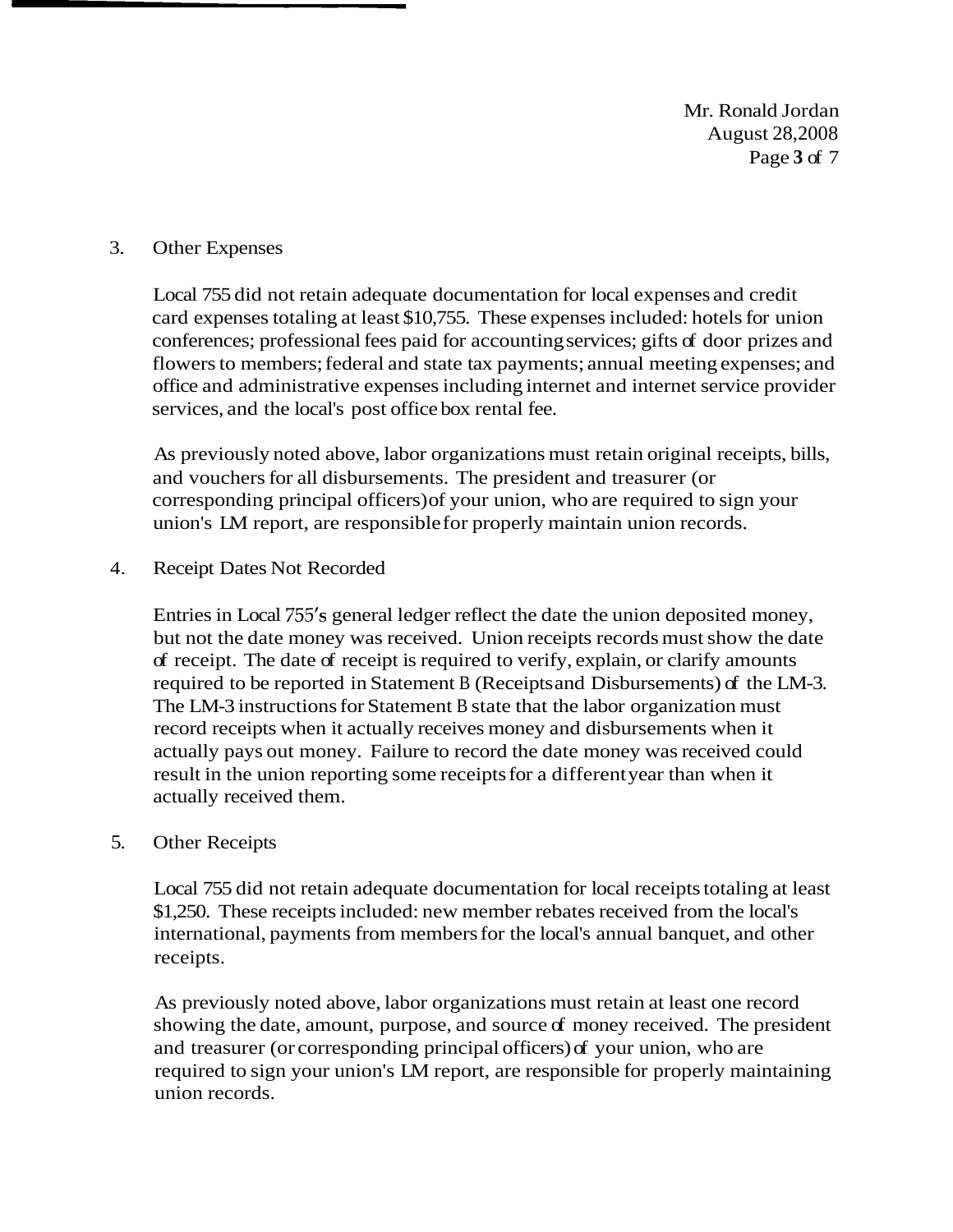Mr. Ronald Jordan August 28,2008 Page **3** of 7

#### 3. Other Expenses

Local 755 did not retain adequate documentation for local expenses and credit card expenses totaling at least \$10,755. These expenses included: hotels for union conferences; professional fees paid for accounting services; gifts of door prizes and flowers to members; federal and state tax payments; annual meeting expenses; and office and administrative expenses including internet and internet service provider services, and the local's post office box rental fee.

As previously noted above, labor organizations must retain original receipts, bills, and vouchers for all disbursements. The president and treasurer (or corresponding principal officers) of your union, who are required to sign your union's LM report, are responsible for properly maintain union records.

#### 4. Receipt Dates Not Recorded

Entries in Local 755's general ledger reflect the date the union deposited money, but not the date money was received. Union receipts records must show the date of receipt. The date of receipt is required to verify, explain, or clarify amounts required to be reported in Statement B (Receipts and Disbursements) of the LM-3. The LM-3 instructions for Statement B state that the labor organization must record receipts when it actually receives money and disbursements when it actually pays out money. Failure to record the date money was received could result in the union reporting some receipts for a different year than when it actually received them.

#### 5. Other Receipts

Local 755 did not retain adequate documentation for local receipts totaling at least \$1,250. These receipts included: new member rebates received from the local's international, payments from members for the local's annual banquet, and other receipts.

As previously noted above, labor organizations must retain at least one record showing the date, amount, purpose, and source of money received. The president and treasurer (or corresponding principal officers) of your union, who are required to sign your union's LM report, are responsible for properly maintaining union records.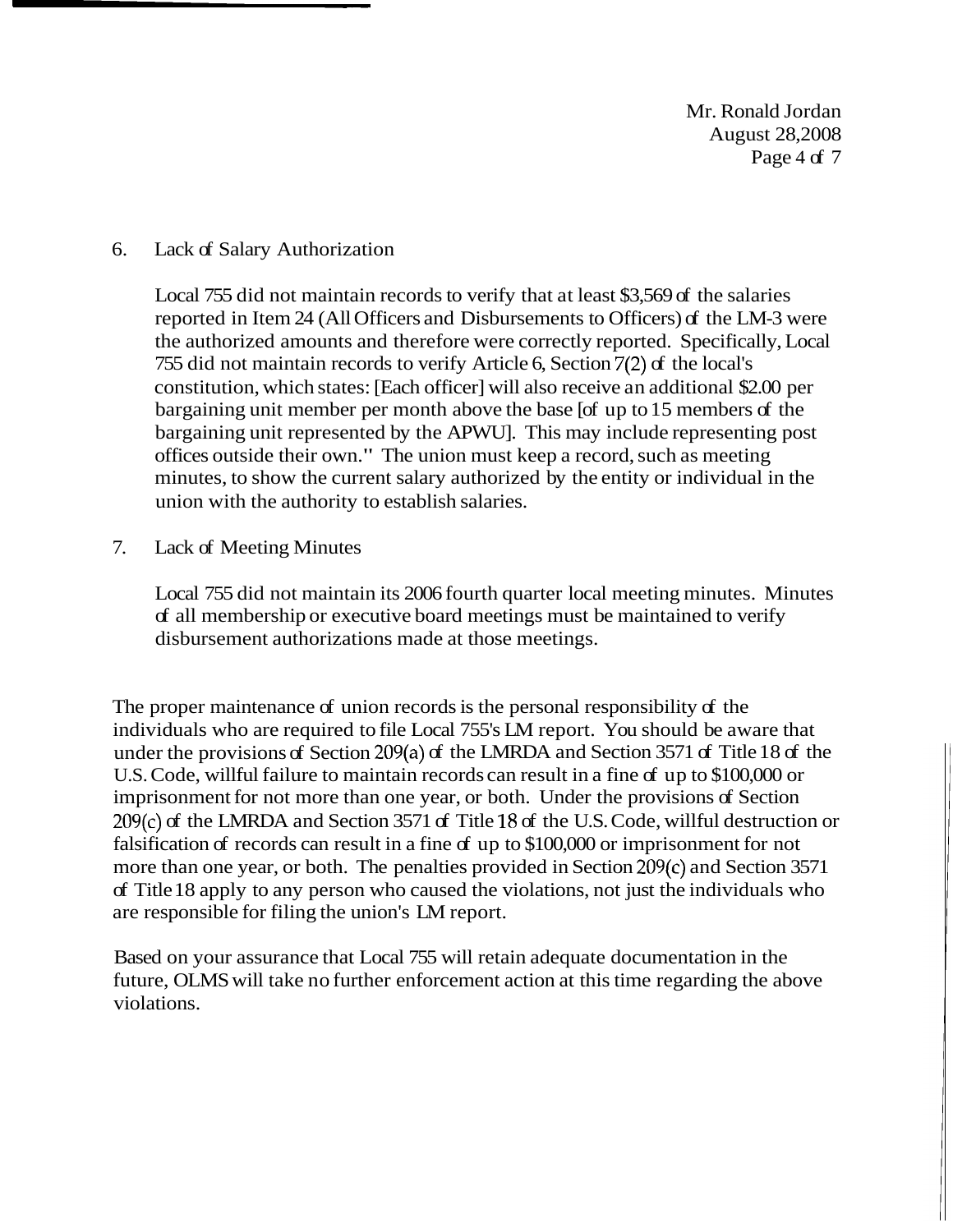Mr. Ronald Jordan August 28,2008 Page 4 of 7

### 6. Lack of Salary Authorization

Local 755 did not maintain records to verify that at least \$3,569 of the salaries reported in Item 24 (All Officers and Disbursements to Officers) of the LM-3 were the authorized amounts and therefore were correctly reported. Specifically, Local 755 did not maintain records to verify Article 6, Section 7(2) of the local's constitution, which states: [Each officer] will also receive an additional \$2.00 per bargaining unit member per month above the base [of up to 15 members of the bargaining unit represented by the APWU]. This may include representing post offices outside their own." The union must keep a record, such as meeting minutes, to show the current salary authorized by the entity or individual in the union with the authority to establish salaries.

7. Lack of Meeting Minutes

Local 755 did not maintain its 2006 fourth quarter local meeting minutes. Minutes of all membership or executive board meetings must be maintained to verify disbursement authorizations made at those meetings.

The proper maintenance of union records is the personal responsibility of the individuals who are required to file Local 755's LM report. You should be aware that under the provisions of Section 209(a) of the LMRDA and Section 3571 of Title 18 of the U.S. Code, willful failure to maintain records can result in a fine of up to \$100,000 or imprisonment for not more than one year, or both. Under the provisions of Section 209(c) of the LMRDA and Section 3571 of Title 18 of the U.S. Code, willful destruction or falsification of records can result in a fine of up to \$100,000 or imprisonment for not more than one year, or both. The penalties provided in Section 209(c) and Section 3571 of Title 18 apply to any person who caused the violations, not just the individuals who are responsible for filing the union's LM report.

Based on your assurance that Local 755 will retain adequate documentation in the future, OLMS will take no further enforcement action at this time regarding the above violations.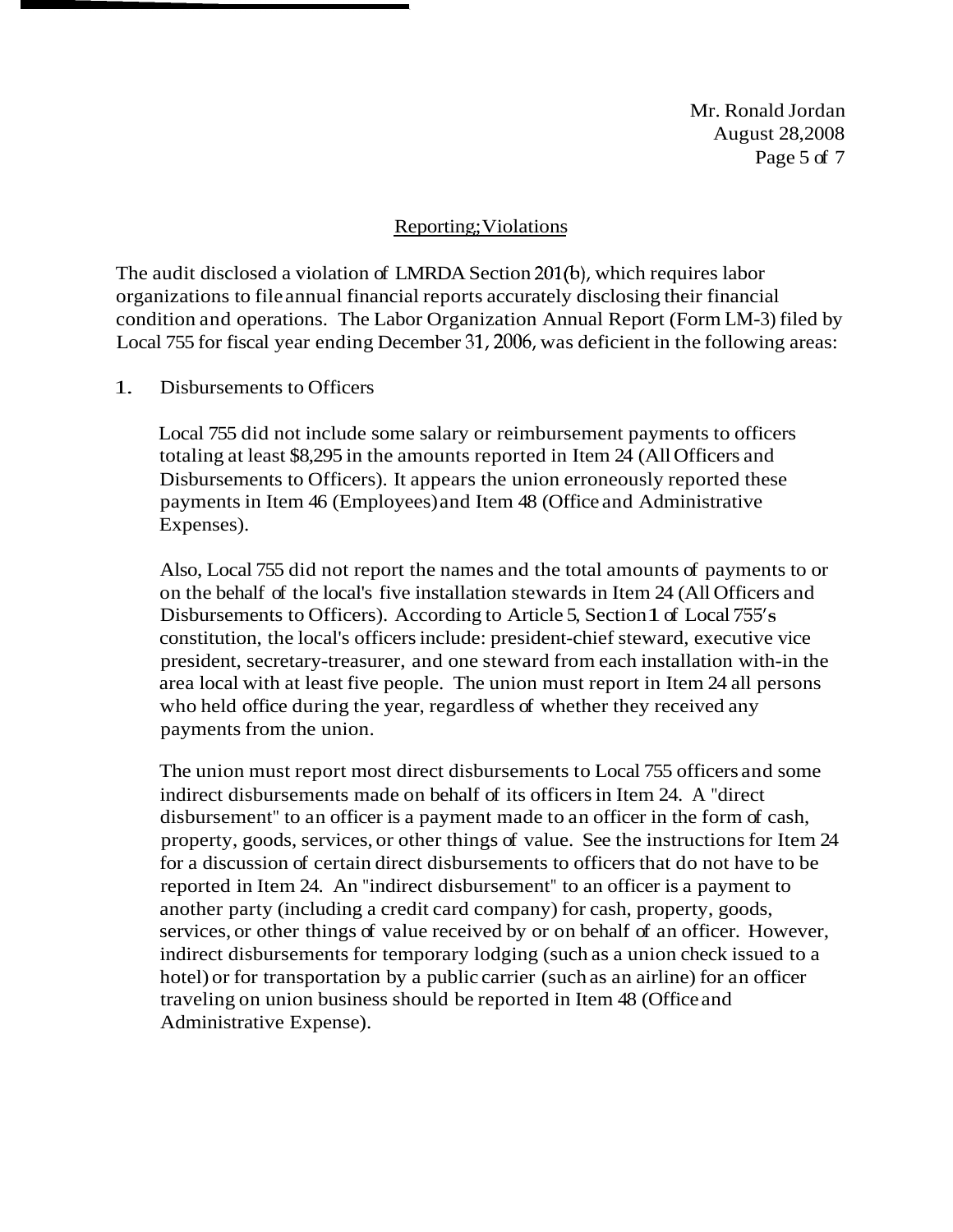Mr. Ronald Jordan August 28,2008 Page 5 of 7

### Reporting; Violations

The audit disclosed a violation of LMRDA Section 201(b), which requires labor organizations to file annual financial reports accurately disclosing their financial condition and operations. The Labor Organization Annual Report (Form LM-3) filed by Local 755 for fiscal year ending December 31,2006, was deficient in the following areas:

1. Disbursements to Officers

Local 755 did not include some salary or reimbursement payments to officers totaling at least \$8,295 in the amounts reported in Item 24 (All Officers and Disbursements to Officers). It appears the union erroneously reported these payments in Item 46 (Employees) and Item 48 (Office and Administrative Expenses).

Also, Local 755 did not report the names and the total amounts of payments to or on the behalf of the local's five installation stewards in Item 24 (All Officers and Disbursements to Officers). According to Article 5, Section 1 of Local 755's constitution, the local's officers include: president-chief steward, executive vice president, secretary-treasurer, and one steward from each installation with-in the area local with at least five people. The union must report in Item 24 all persons who held office during the year, regardless of whether they received any payments from the union.

The union must report most direct disbursements to Local 755 officers and some indirect disbursements made on behalf of its officers in Item 24. A "direct disbursement" to an officer is a payment made to an officer in the form of cash, property, goods, services, or other things of value. See the instructions for Item 24 for a discussion of certain direct disbursements to officers that do not have to be reported in Item 24. An "indirect disbursement" to an officer is a payment to another party (including a credit card company) for cash, property, goods, services, or other things of value received by or on behalf of an officer. However, indirect disbursements for temporary lodging (such as a union check issued to a hotel) or for transportation by a public carrier (such as an airline) for an officer traveling on union business should be reported in Item 48 (Office and Administrative Expense).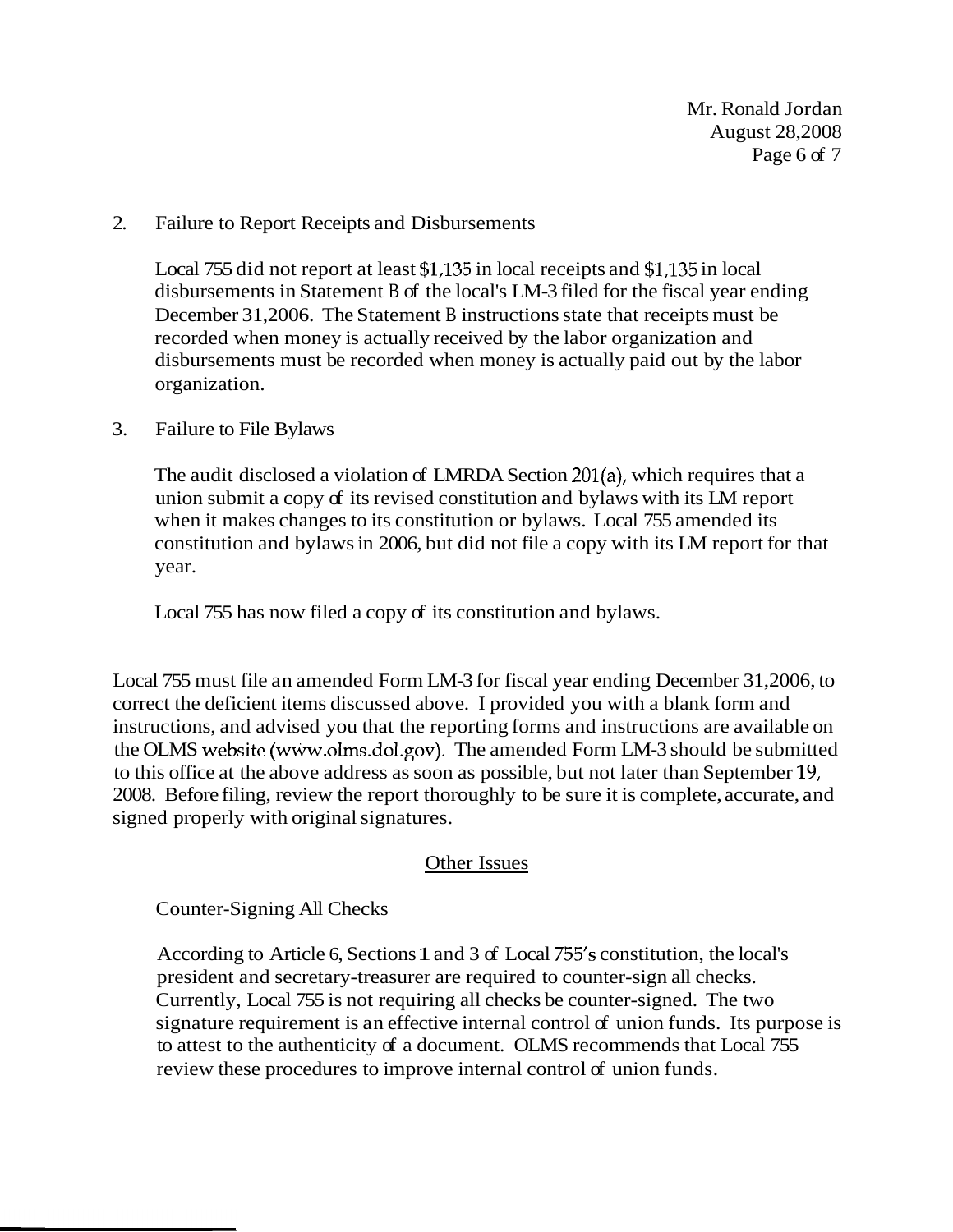Mr. Ronald Jordan August 28,2008 Page 6 of 7

### 2. Failure to Report Receipts and Disbursements

Local 755 did not report at least \$1,135 in local receipts and \$1,135 in local disbursements in Statement B of the local's LM-3 filed for the fiscal year ending December 31,2006. The Statement B instructions state that receipts must be recorded when money is actually received by the labor organization and disbursements must be recorded when money is actually paid out by the labor organization.

### 3. Failure to File Bylaws

The audit disclosed a violation of LMRDA Section 201(a), which requires that a union submit a copy of its revised constitution and bylaws with its LM report when it makes changes to its constitution or bylaws. Local 755 amended its constitution and bylaws in 2006, but did not file a copy with its LM report for that year.

Local 755 has now filed a copy of its constitution and bylaws.

Local 755 must file an amended Form LM-3 for fiscal year ending December 31,2006, to correct the deficient items discussed above. I provided you with a blank form and instructions, and advised you that the reporting forms and instructions are available on the OLMS website (wW.olms.dol.gov). The amended Form LM-3 should be submitted to this office at the above address as soon as possible, but not later than September 19, 2008. Before filing, review the report thoroughly to be sure it is complete, accurate, and signed properly with original signatures.

## Other Issues

Counter-Signing All Checks

According to Article 6, Sections 1 and 3 of Local 755's constitution, the local's president and secretary-treasurer are required to counter-sign all checks. Currently, Local 755 is not requiring all checks be counter-signed. The two signature requirement is an effective internal control of union funds. Its purpose is to attest to the authenticity of a document. OLMS recommends that Local 755 review these procedures to improve internal control of union funds.